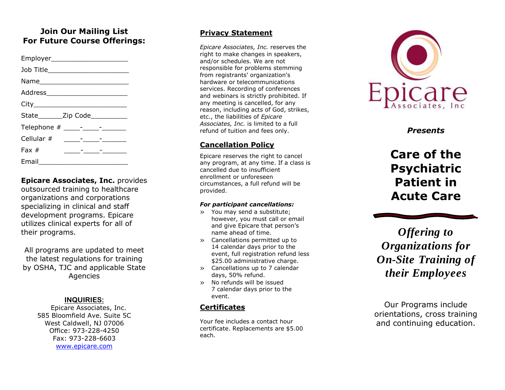## **Join Our Mailing List For Future Course Offerings:**

| State________Zip Code___________ |                                         |  |  |
|----------------------------------|-----------------------------------------|--|--|
| Telephone # _____-____-_______   |                                         |  |  |
|                                  |                                         |  |  |
| Fax $#$                          | <u> 1980 - Andrea Station (b. 1980)</u> |  |  |
|                                  |                                         |  |  |

**Epicare Associates, Inc.** provides outsourced training to healthcare organizations and corporations specializing in clinical and staff development programs. Epicare utilizes clinical experts for all of their programs.

All programs are updated to meet the latest regulations for training by OSHA, TJC and applicable State Agencies

#### **INQUIRIES :**

Epicare Associates, Inc. 585 Bloomfield Ave. Suite 5C West Caldwell, NJ 07006 Office: 973 -228 -4250 Fax: 973 -228 -6603 [www.epicare.com](http://www.epicare.com/)

#### **Privacy Statement**

*Epicare Associates, Inc.* reserves the right to make changes in speakers, and/or schedules. We are not responsible for problems stemming from registrants' organization's hardware or telecommunications services. Recording of conferences and webinars is strictly prohibited. If any meeting is cancelled, for any reason, including acts of God, strikes, etc., the liabilities of *Epicare Associates, Inc.* is limited to a full refund of tuition and fees only.

#### **Cancellation Policy**

Epicare reserves the right to cancel any program, at any time. If a class is cancelled due to insufficient enrollment or unforeseen circumstances, a full refund will be provided.

#### *For participant cancellations:*

- » You may send a substitute; however, you must call or email and give Epicare that person's name ahead of time.
- » Cancellations permitted up to 14 calendar days prior to the event, full registration refund less \$25.00 administrative charge.
- » Cancellations up to 7 calendar days, 50% refund.
- » No refunds will be issued 7 calendar days prior to the event.

### **Certificates**

Your fee includes a contact hour certificate. Replacements are \$5.00 each.



*Presents*

**Care of the Psychiatric Patient in Acute Care**

*Offering to Organizations for On -Site Training of their Employees*

Our Programs include orientation s, cross training and continuing education.